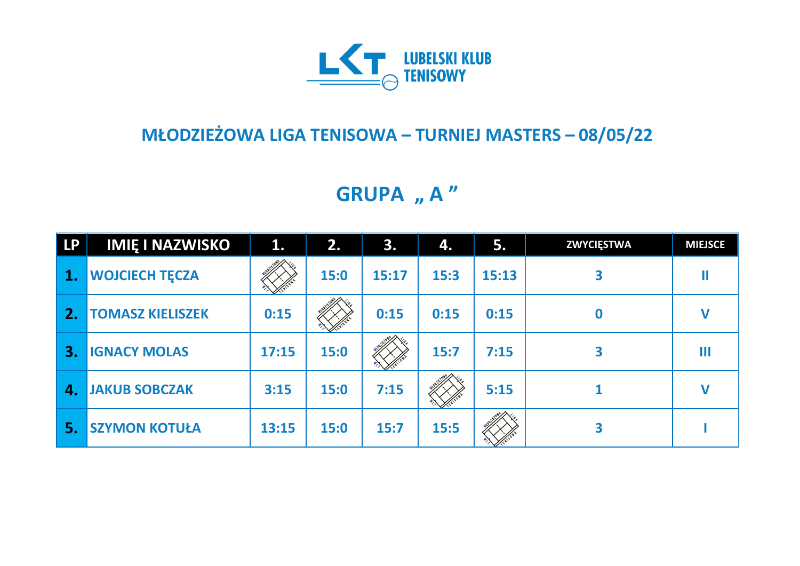

## **MŁODZIEŻOWA LIGA TENISOWA – TURNIEJ MASTERS – 08/05/22**

**GRUPA** "A"

| <b>LP</b> | <b>IMIE I NAZWISKO</b>  | 1.    | 2.   | 3.    | 4.   | 5.    | <b>ZWYCIĘSTWA</b> | <b>MIEJSCE</b> |
|-----------|-------------------------|-------|------|-------|------|-------|-------------------|----------------|
| 1.        | <b>WOJCIECH TECZA</b>   |       | 15:0 | 15:17 | 15:3 | 15:13 |                   |                |
| 2.        | <b>TOMASZ KIELISZEK</b> | 0:15  |      | 0:15  | 0:15 | 0:15  | $\bf{0}$          |                |
| 3.        | <b>IGNACY MOLAS</b>     | 17:15 | 15:0 |       | 15:7 | 7:15  | 3                 | Ш              |
| 4.        | <b>JAKUB SOBCZAK</b>    | 3:15  | 15:0 | 7:15  |      | 5:15  |                   |                |
| 5.        | <b>SZYMON KOTUŁA</b>    | 13:15 | 15:0 | 15:7  | 15:5 |       | 3                 |                |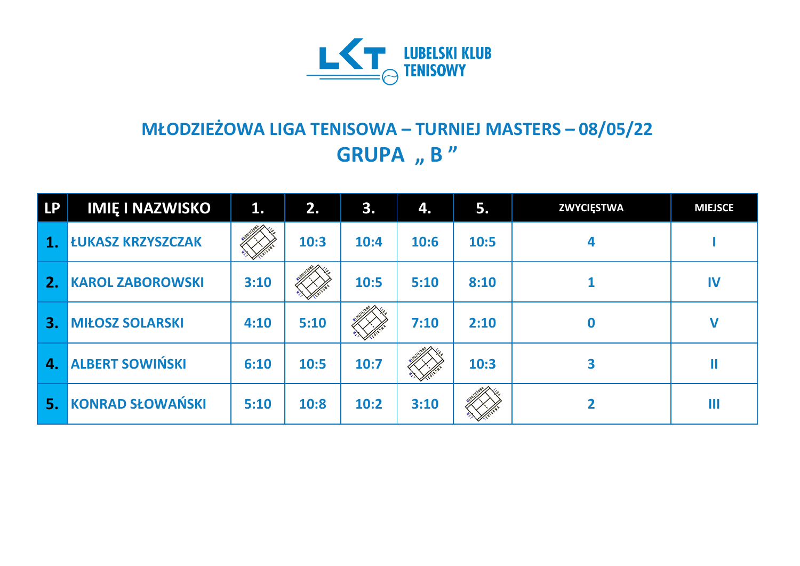

## **MŁODZIEŻOWA LIGA TENISOWA – TURNIEJ MASTERS – 08/05/22 GRUPA** , **B** "

| <b>LP</b> | <b>IMIE I NAZWISKO</b>   | $\mathbf{1}$ . | 2.   | 3.   | 4.   | 5.   | <b>ZWYCIĘSTWA</b> | <b>MIEJSCE</b> |
|-----------|--------------------------|----------------|------|------|------|------|-------------------|----------------|
| 1.        | <b>LUKASZ KRZYSZCZAK</b> |                | 10:3 | 10:4 | 10:6 | 10:5 | 4                 |                |
| 2.        | <b>KAROL ZABOROWSKI</b>  | 3:10           |      | 10:5 | 5:10 | 8:10 |                   | IV             |
| 3.        | <b>MIŁOSZ SOLARSKI</b>   | 4:10           | 5:10 |      | 7:10 | 2:10 |                   | $\mathbf V$    |
| 4.        | <b>ALBERT SOWIŃSKI</b>   | 6:10           | 10:5 | 10:7 |      | 10:3 | 3                 |                |
| 5.        | <b>KONRAD SŁOWAŃSKI</b>  | 5:10           | 10:8 | 10:2 | 3:10 |      |                   | Ш              |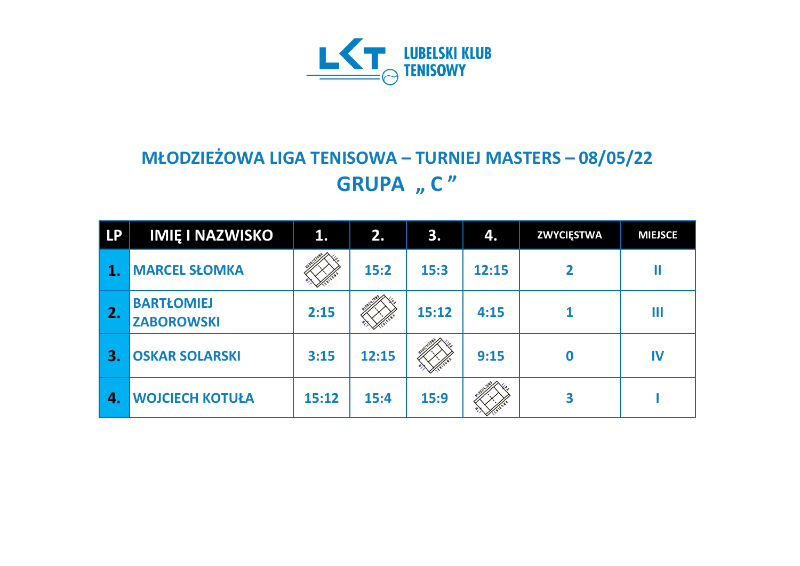

## **MŁODZIEŻOWA LIGA TENISOWA – TURNIEJ MASTERS – 08/05/22 GRUPA** "  $C''$

| <b>LP</b> | <b>IMIĘ I NAZWISKO</b>                 | 1.    | 2.    | 3.    | 4.    | <b>ZWYCIĘSTWA</b> | <b>MIEJSCE</b> |
|-----------|----------------------------------------|-------|-------|-------|-------|-------------------|----------------|
|           | <b>MARCEL SŁOMKA</b>                   |       | 15:2  | 15:3  | 12:15 | $\mathbf{2}$      |                |
| 2.        | <b>BARTŁOMIEJ</b><br><b>ZABOROWSKI</b> | 2:15  |       | 15:12 | 4:15  |                   | Ш              |
| З.        | <b>OSKAR SOLARSKI</b>                  | 3:15  | 12:15 |       | 9:15  | $\boldsymbol{0}$  | IV             |
| 4.        | <b>WOJCIECH KOTUŁA</b>                 | 15:12 | 15:4  | 15:9  |       | 3                 |                |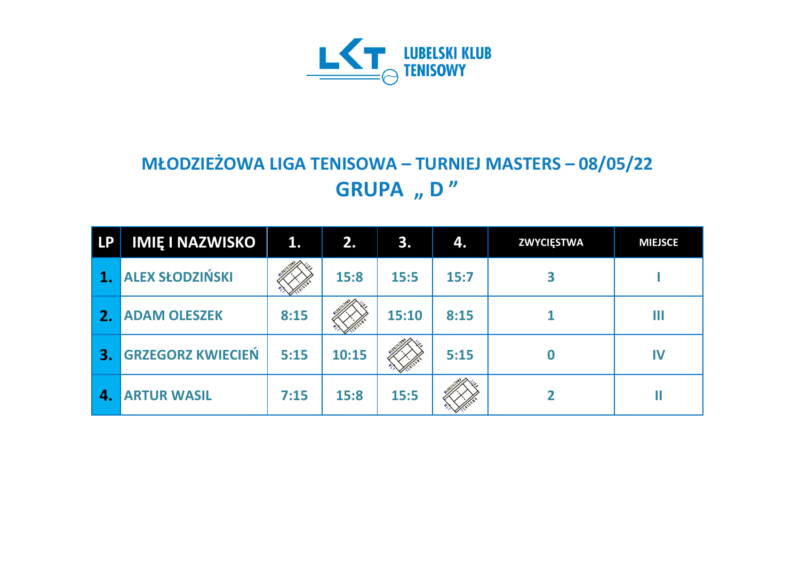

## **MŁODZIEŻOWA LIGA TENISOWA – TURNIEJ MASTERS – 08/05/22 GRUPA** "D"

| <b>LP</b>    | <b>IMIĘ I NAZWISKO</b>   | 1.   | 2.    | 3.    | 4.   | <b>ZWYCIĘSTWA</b> | <b>MIEJSCE</b> |
|--------------|--------------------------|------|-------|-------|------|-------------------|----------------|
|              | <b>ALEX SŁODZIŃSKI</b>   |      | 15:8  | 15:5  | 15:7 |                   |                |
| 2.           | <b>ADAM OLESZEK</b>      | 8:15 |       | 15:10 | 8:15 |                   | H              |
| $\mathbf{3}$ | <b>GRZEGORZ KWIECIEŃ</b> | 5:15 | 10:15 |       | 5:15 |                   | IV             |
| 4.           | <b>ARTUR WASIL</b>       | 7:15 | 15:8  | 15:5  |      |                   |                |